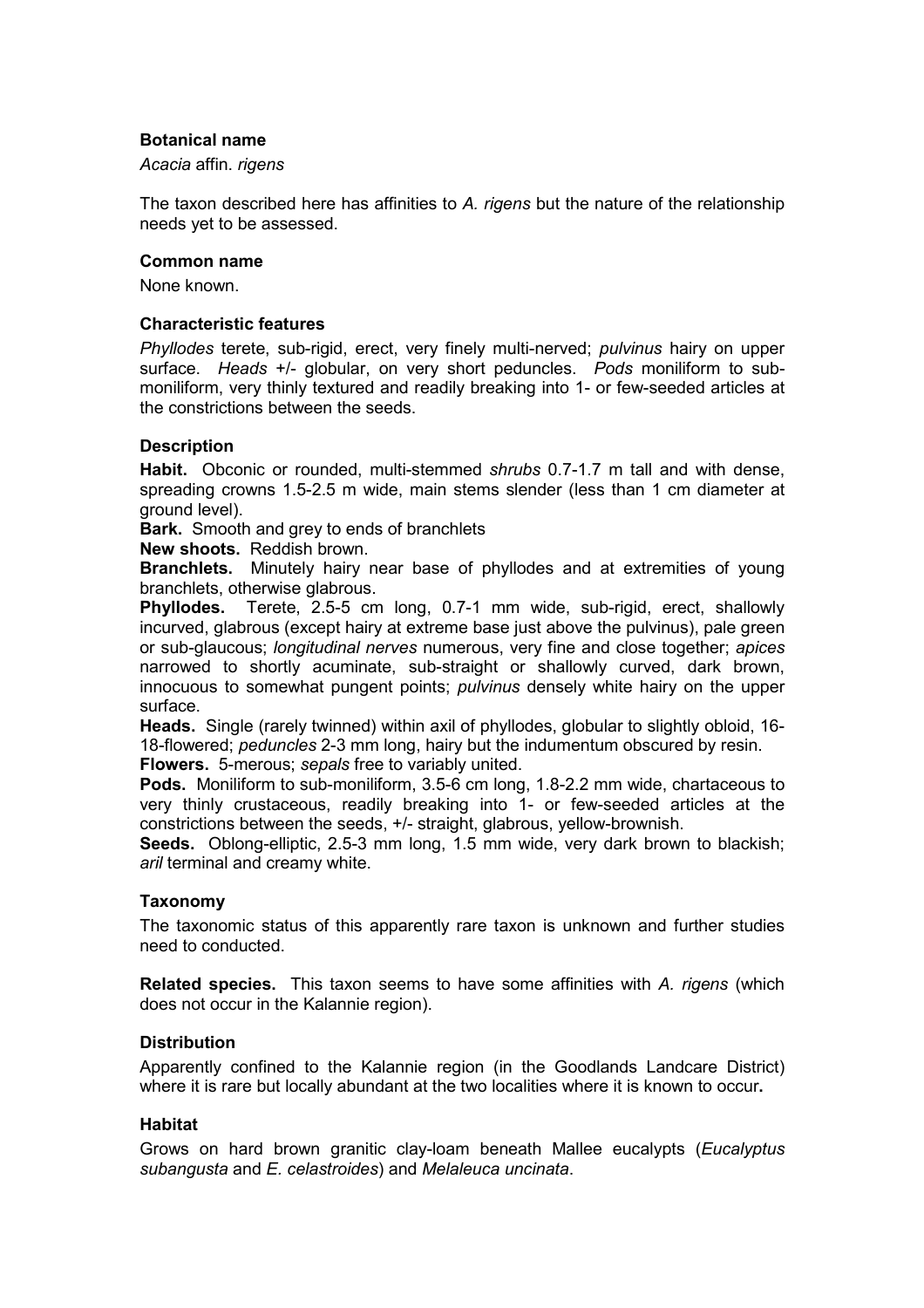# **Botanical name**

*Acacia* affin. *rigens* 

The taxon described here has affinities to *A. rigens* but the nature of the relationship needs yet to be assessed.

#### **Common name**

None known.

### **Characteristic features**

*Phyllodes* terete, sub-rigid, erect, very finely multi-nerved; *pulvinus* hairy on upper surface. *Heads* +/- globular, on very short peduncles. *Pods* moniliform to submoniliform, very thinly textured and readily breaking into 1- or few-seeded articles at the constrictions between the seeds.

### **Description**

**Habit.** Obconic or rounded, multi-stemmed *shrubs* 0.7-1.7 m tall and with dense, spreading crowns 1.5-2.5 m wide, main stems slender (less than 1 cm diameter at ground level).

**Bark.** Smooth and grey to ends of branchlets

**New shoots.** Reddish brown.

**Branchlets.** Minutely hairy near base of phyllodes and at extremities of young branchlets, otherwise glabrous.

**Phyllodes.** Terete, 2.5-5 cm long, 0.7-1 mm wide, sub-rigid, erect, shallowly incurved, glabrous (except hairy at extreme base just above the pulvinus), pale green or sub-glaucous; *longitudinal nerves* numerous, very fine and close together; *apices* narrowed to shortly acuminate, sub-straight or shallowly curved, dark brown, innocuous to somewhat pungent points; *pulvinus* densely white hairy on the upper surface.

**Heads.** Single (rarely twinned) within axil of phyllodes, globular to slightly obloid, 16- 18-flowered; *peduncles* 2-3 mm long, hairy but the indumentum obscured by resin.

**Flowers.** 5-merous; *sepals* free to variably united.

**Pods.** Moniliform to sub-moniliform, 3.5-6 cm long, 1.8-2.2 mm wide, chartaceous to very thinly crustaceous, readily breaking into 1- or few-seeded articles at the constrictions between the seeds, +/- straight, glabrous, yellow-brownish.

**Seeds.** Oblong-elliptic, 2.5-3 mm long, 1.5 mm wide, very dark brown to blackish; *aril* terminal and creamy white.

### **Taxonomy**

The taxonomic status of this apparently rare taxon is unknown and further studies need to conducted.

**Related species.** This taxon seems to have some affinities with *A. rigens* (which does not occur in the Kalannie region).

### **Distribution**

Apparently confined to the Kalannie region (in the Goodlands Landcare District) where it is rare but locally abundant at the two localities where it is known to occur**.**

### **Habitat**

Grows on hard brown granitic clay-loam beneath Mallee eucalypts (*Eucalyptus subangusta* and *E. celastroides*) and *Melaleuca uncinata*.